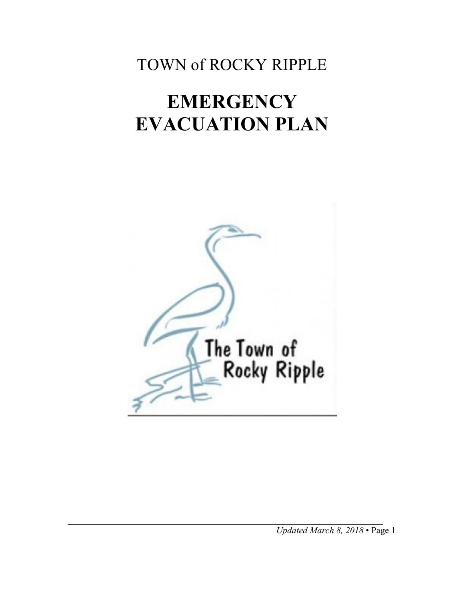### TOWN of ROCKY RIPPLE

# **EMERGENCY EVACUATION PLAN**



*Updated March 8, 2018* • Page 1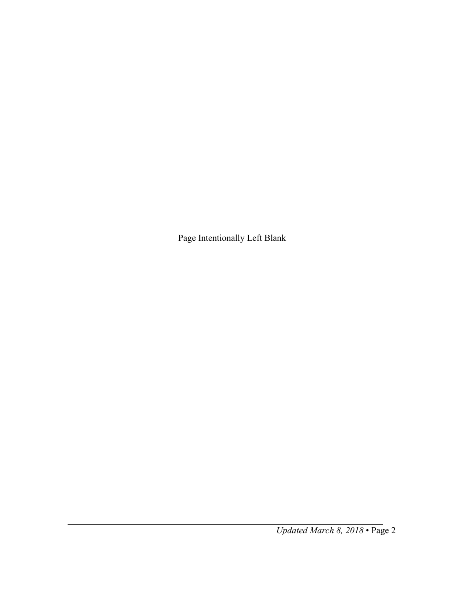Page Intentionally Left Blank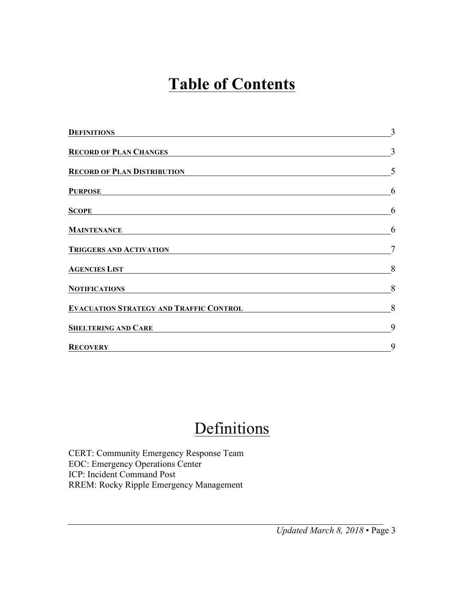# **Table of Contents**

| <b>DEFINITIONS</b>                             | $\overline{3}$ |
|------------------------------------------------|----------------|
| <b>RECORD OF PLAN CHANGES</b>                  | 3              |
| <b>RECORD OF PLAN DISTRIBUTION</b>             | 5              |
| <b>PURPOSE</b>                                 | 6              |
| <b>SCOPE</b>                                   | 6              |
| <b>MAINTENANCE</b>                             | 6              |
| <b>TRIGGERS AND ACTIVATION</b>                 | $\overline{7}$ |
| <b>AGENCIES LIST</b>                           | 8              |
| <b>NOTIFICATIONS</b>                           | 8              |
| <b>EVACUATION STRATEGY AND TRAFFIC CONTROL</b> | 8              |
| <b>SHELTERING AND CARE</b>                     | 9              |
| <b>RECOVERY</b>                                | 9              |

### <span id="page-2-0"></span>**Definitions**

<span id="page-2-1"></span>CERT: Community Emergency Response Team EOC: Emergency Operations Center ICP: Incident Command Post RREM: Rocky Ripple Emergency Management

*Updated March 8, 2018* • Page 3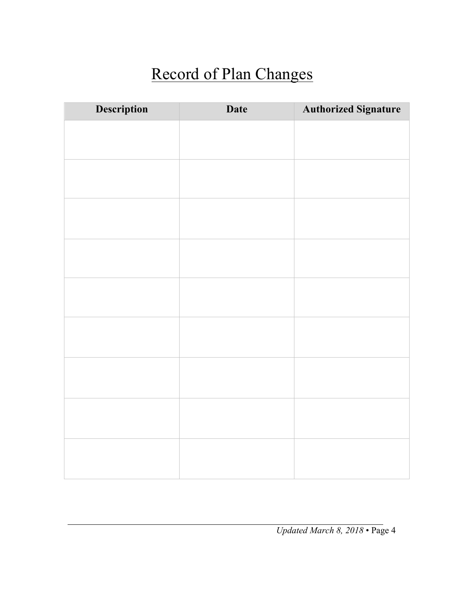# Record of Plan Changes

| Description | <b>Date</b> | <b>Authorized Signature</b> |
|-------------|-------------|-----------------------------|
|             |             |                             |
|             |             |                             |
|             |             |                             |
|             |             |                             |
|             |             |                             |
|             |             |                             |
|             |             |                             |
|             |             |                             |
|             |             |                             |
|             |             |                             |
|             |             |                             |
|             |             |                             |
|             |             |                             |
|             |             |                             |
|             |             |                             |
|             |             |                             |
|             |             |                             |
|             |             |                             |
|             |             |                             |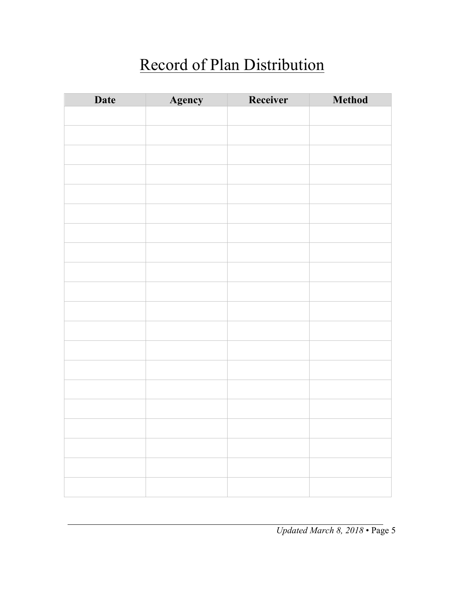# <span id="page-4-0"></span>Record of Plan Distribution

| <b>Date</b> | Agency | Receiver | <b>Method</b> |
|-------------|--------|----------|---------------|
|             |        |          |               |
|             |        |          |               |
|             |        |          |               |
|             |        |          |               |
|             |        |          |               |
|             |        |          |               |
|             |        |          |               |
|             |        |          |               |
|             |        |          |               |
|             |        |          |               |
|             |        |          |               |
|             |        |          |               |
|             |        |          |               |
|             |        |          |               |
|             |        |          |               |
|             |        |          |               |
|             |        |          |               |
|             |        |          |               |
|             |        |          |               |
|             |        |          |               |
|             |        |          |               |
|             |        |          |               |
|             |        |          |               |
|             |        |          |               |
|             |        |          |               |
|             |        |          |               |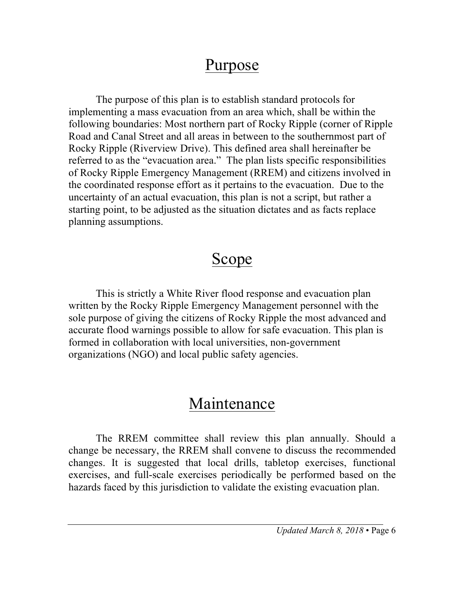#### <span id="page-5-0"></span>Purpose

The purpose of this plan is to establish standard protocols for implementing a mass evacuation from an area which, shall be within the following boundaries: Most northern part of Rocky Ripple (corner of Ripple Road and Canal Street and all areas in between to the southernmost part of Rocky Ripple (Riverview Drive). This defined area shall hereinafter be referred to as the "evacuation area." The plan lists specific responsibilities of Rocky Ripple Emergency Management (RREM) and citizens involved in the coordinated response effort as it pertains to the evacuation. Due to the uncertainty of an actual evacuation, this plan is not a script, but rather a starting point, to be adjusted as the situation dictates and as facts replace planning assumptions.

#### <span id="page-5-1"></span>Scope

This is strictly a White River flood response and evacuation plan written by the Rocky Ripple Emergency Management personnel with the sole purpose of giving the citizens of Rocky Ripple the most advanced and accurate flood warnings possible to allow for safe evacuation. This plan is formed in collaboration with local universities, non-government organizations (NGO) and local public safety agencies.

#### <span id="page-5-2"></span>Maintenance

The RREM committee shall review this plan annually. Should a change be necessary, the RREM shall convene to discuss the recommended changes. It is suggested that local drills, tabletop exercises, functional exercises, and full-scale exercises periodically be performed based on the hazards faced by this jurisdiction to validate the existing evacuation plan.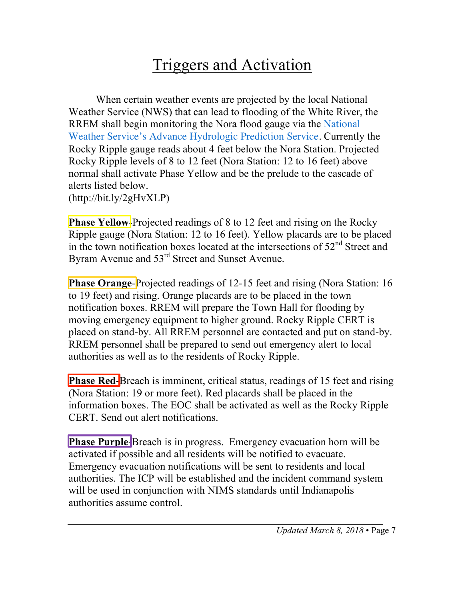# <span id="page-6-0"></span>Triggers and Activation

When certain weather events are projected by the local National Weather Service (NWS) that can lead to flooding of the White River, the RREM shall begin monitoring the Nora flood gauge via the [National](http://water.weather.gov//ahps2/hydrograph.php?wfo=ind&gage=nori3&view=1,1,1,1,1,1,1,1) [Weather Service's Advance Hydrologic Prediction Service](http://water.weather.gov//ahps2/hydrograph.php?wfo=ind&gage=nori3&view=1,1,1,1,1,1,1,1). Currently the Rocky Ripple gauge reads about 4 feet below the Nora Station. Projected Rocky Ripple levels of 8 to 12 feet (Nora Station: 12 to 16 feet) above normal shall activate Phase Yellow and be the prelude to the cascade of alerts listed below. (http://bit.ly/2gHvXLP)

**Phase Yellow**-Projected readings of 8 to 12 feet and rising on the Rocky Ripple gauge (Nora Station: 12 to 16 feet). Yellow placards are to be placed in the town notification boxes located at the intersections of  $52<sup>nd</sup>$  Street and Byram Avenue and  $53<sup>rd</sup>$  Street and Sunset Avenue.

**Phase Orange-Projected readings of 12-15 feet and rising (Nora Station: 16** to 19 feet) and rising. Orange placards are to be placed in the town notification boxes. RREM will prepare the Town Hall for flooding by moving emergency equipment to higher ground. Rocky Ripple CERT is placed on stand-by. All RREM personnel are contacted and put on stand-by. RREM personnel shall be prepared to send out emergency alert to local authorities as well as to the residents of Rocky Ripple.

**Phase Red-Breach** is imminent, critical status, readings of 15 feet and rising (Nora Station: 19 or more feet). Red placards shall be placed in the information boxes. The EOC shall be activated as well as the Rocky Ripple CERT. Send out alert notifications.

**Phase Purple-Breach is in progress.** Emergency evacuation horn will be activated if possible and all residents will be notified to evacuate. Emergency evacuation notifications will be sent to residents and local authorities. The ICP will be established and the incident command system will be used in conjunction with NIMS standards until Indianapolis authorities assume control.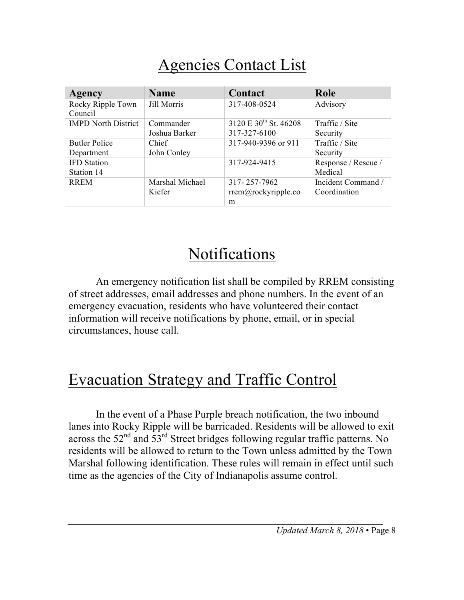# <span id="page-7-0"></span>Agencies Contact List

| Agency                     | <b>Name</b>     | Contact                           | Role                |
|----------------------------|-----------------|-----------------------------------|---------------------|
| Rocky Ripple Town          | Jill Morris     | 317-408-0524                      | Advisory            |
| Council                    |                 |                                   |                     |
| <b>IMPD North District</b> | Commander       | 3120 E 30 <sup>th</sup> St. 46208 | Traffic / Site      |
|                            | Joshua Barker   | 317-327-6100                      | Security            |
| <b>Butler Police</b>       | Chief           | 317-940-9396 or 911               | Traffic / Site      |
| Department                 | John Conley     |                                   | Security            |
| <b>IFD</b> Station         |                 | 317-924-9415                      | Response / Rescue / |
| Station 14                 |                 |                                   | Medical             |
| <b>RREM</b>                | Marshal Michael | 317-257-7962                      | Incident Command /  |
|                            | Kiefer          | rrem@rockyripple.co               | Coordination        |
|                            |                 | m                                 |                     |

### <span id="page-7-1"></span>Notifications

An emergency notification list shall be compiled by RREM consisting of street addresses, email addresses and phone numbers. In the event of an emergency evacuation, residents who have volunteered their contact information will receive notifications by phone, email, or in special circumstances, house call.

### <span id="page-7-2"></span>Evacuation Strategy and Traffic Control

In the event of a Phase Purple breach notification, the two inbound lanes into Rocky Ripple will be barricaded. Residents will be allowed to exit across the  $52<sup>nd</sup>$  and  $53<sup>rd</sup>$  Street bridges following regular traffic patterns. No residents will be allowed to return to the Town unless admitted by the Town Marshal following identification. These rules will remain in effect until such time as the agencies of the City of Indianapolis assume control.